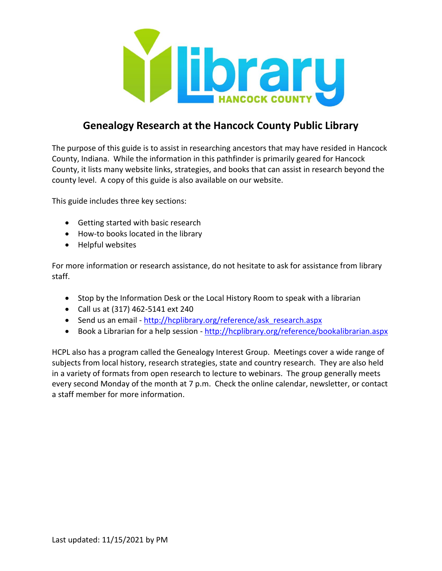

# **Genealogy Research at the Hancock County Public Library**

The purpose of this guide is to assist in researching ancestors that may have resided in Hancock County, Indiana. While the information in this pathfinder is primarily geared for Hancock County, it lists many website links, strategies, and books that can assist in research beyond the county level. A copy of this guide is also available on our website.

This guide includes three key sections:

- Getting started with basic research
- How-to books located in the library
- Helpful websites

For more information or research assistance, do not hesitate to ask for assistance from library staff.

- Stop by the Information Desk or the Local History Room to speak with a librarian
- Call us at (317) 462-5141 ext 240
- Send us an email [http://hcplibrary.org/reference/ask\\_research.aspx](http://hcplibrary.org/reference/ask_research.aspx)
- Book a Librarian for a help session <http://hcplibrary.org/reference/bookalibrarian.aspx>

HCPL also has a program called the Genealogy Interest Group. Meetings cover a wide range of subjects from local history, research strategies, state and country research. They are also held in a variety of formats from open research to lecture to webinars. The group generally meets every second Monday of the month at 7 p.m. Check the online calendar, newsletter, or contact a staff member for more information.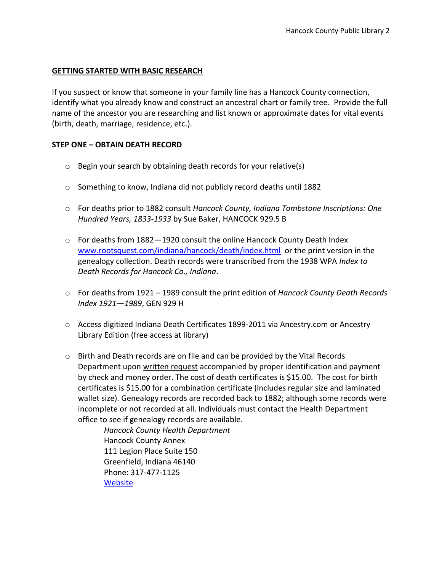# **GETTING STARTED WITH BASIC RESEARCH**

If you suspect or know that someone in your family line has a Hancock County connection, identify what you already know and construct an ancestral chart or family tree. Provide the full name of the ancestor you are researching and list known or approximate dates for vital events (birth, death, marriage, residence, etc.).

#### **STEP ONE – OBTAIN DEATH RECORD**

- o Begin your search by obtaining death records for your relative(s)
- o Something to know, Indiana did not publicly record deaths until 1882
- o For deaths prior to 1882 consult *Hancock County, Indiana Tombstone Inscriptions: One Hundred Years, 1833-1933* by Sue Baker, HANCOCK 929.5 B
- $\circ$  For deaths from 1882 1920 consult the online Hancock County Death Index [www.rootsquest.com/indiana/hancock/death/index.html](http://www.rootsquest.com/indiana/hancock/death/index.html) or the print version in the genealogy collection. Death records were transcribed from the 1938 WPA *Index to Death Records for Hancock Co., Indiana*.
- o For deaths from 1921 1989 consult the print edition of *Hancock County Death Records Index 1921—1989*, GEN 929 H
- o Access digitized Indiana Death Certificates 1899-2011 via Ancestry.com or Ancestry Library Edition (free access at library)
- o Birth and Death records are on file and can be provided by the Vital Records Department upon written request accompanied by proper identification and payment by check and money order. The cost of death certificates is \$15.00. The cost for birth certificates is \$15.00 for a combination certificate (includes regular size and laminated wallet size). Genealogy records are recorded back to 1882; although some records were incomplete or not recorded at all. Individuals must contact the Health Department office to see if genealogy records are available.

*Hancock County Health Department* Hancock County Annex 111 Legion Place Suite 150 Greenfield, Indiana 46140 Phone: 317-477-1125 **[Website](https://hancockcoingov.org/hancock-county-indiana-health-department-vital-records-department)**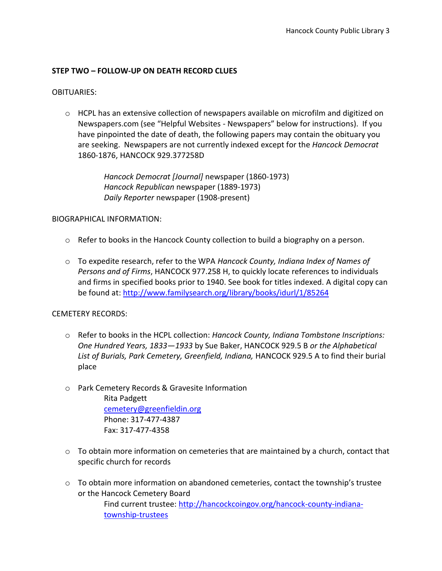# **STEP TWO – FOLLOW-UP ON DEATH RECORD CLUES**

#### OBITUARIES:

 $\circ$  HCPL has an extensive collection of newspapers available on microfilm and digitized on Newspapers.com (see "Helpful Websites - Newspapers" below for instructions). If you have pinpointed the date of death, the following papers may contain the obituary you are seeking. Newspapers are not currently indexed except for the *Hancock Democrat* 1860-1876, HANCOCK 929.377258D

> *Hancock Democrat [Journal]* newspaper (1860-1973) *Hancock Republican* newspaper (1889-1973) *Daily Reporter* newspaper (1908-present)

#### BIOGRAPHICAL INFORMATION:

- $\circ$  Refer to books in the Hancock County collection to build a biography on a person.
- o To expedite research, refer to the WPA *Hancock County, Indiana Index of Names of Persons and of Firms*, HANCOCK 977.258 H, to quickly locate references to individuals and firms in specified books prior to 1940. See book for titles indexed. A digital copy can be found at:<http://www.familysearch.org/library/books/idurl/1/85264>

#### CEMETERY RECORDS:

- o Refer to books in the HCPL collection: *Hancock County, Indiana Tombstone Inscriptions: One Hundred Years, 1833—1933* by Sue Baker, HANCOCK 929.5 B *or the Alphabetical List of Burials, Park Cemetery, Greenfield, Indiana,* HANCOCK 929.5 A to find their burial place
- o Park Cemetery Records & Gravesite Information Rita Padgett [cemetery@greenfieldin.org](mailto:cemetery@greenfieldin.org) Phone: 317-477-4387

Fax: 317-477-4358

- o To obtain more information on cemeteries that are maintained by a church, contact that specific church for records
- $\circ$  To obtain more information on abandoned cemeteries, contact the township's trustee or the Hancock Cemetery Board Find current trustee: [http://hancockcoingov.org/hancock-county-indiana](http://hancockcoingov.org/hancock-county-indiana-township-trustees)[township-trustees](http://hancockcoingov.org/hancock-county-indiana-township-trustees)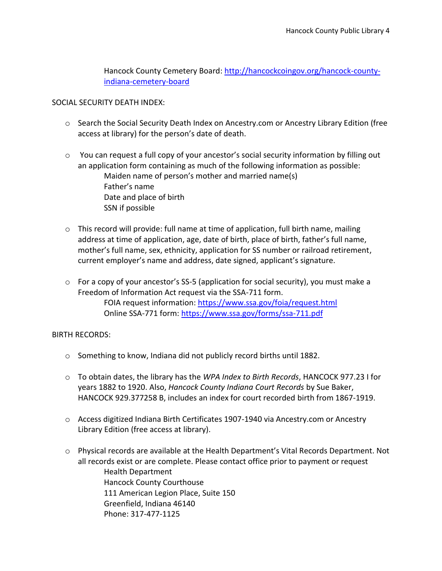Hancock County Cemetery Board: [http://hancockcoingov.org/hancock-county](http://hancockcoingov.org/hancock-county-indiana-cemetery-board)[indiana-cemetery-board](http://hancockcoingov.org/hancock-county-indiana-cemetery-board)

# SOCIAL SECURITY DEATH INDEX:

- o Search the Social Security Death Index on Ancestry.com or Ancestry Library Edition (free access at library) for the person's date of death.
- $\circ$  You can request a full copy of your ancestor's social security information by filling out an application form containing as much of the following information as possible: Maiden name of person's mother and married name(s) Father's name Date and place of birth SSN if possible
- $\circ$  This record will provide: full name at time of application, full birth name, mailing address at time of application, age, date of birth, place of birth, father's full name, mother's full name, sex, ethnicity, application for SS number or railroad retirement, current employer's name and address, date signed, applicant's signature.
- $\circ$  For a copy of your ancestor's SS-5 (application for social security), you must make a Freedom of Information Act request via the SSA-711 form. FOIA request information:<https://www.ssa.gov/foia/request.html> Online SSA-771 form: <https://www.ssa.gov/forms/ssa-711.pdf>

#### BIRTH RECORDS:

- o Something to know, Indiana did not publicly record births until 1882.
- o To obtain dates, the library has the *WPA Index to Birth Records*, HANCOCK 977.23 I for years 1882 to 1920. Also, *Hancock County Indiana Court Records* by Sue Baker, HANCOCK 929.377258 B, includes an index for court recorded birth from 1867-1919.
- o Access digitized Indiana Birth Certificates 1907-1940 via Ancestry.com or Ancestry Library Edition (free access at library).
- o Physical records are available at the Health Department's Vital Records Department. Not all records exist or are complete. Please contact office prior to payment or request Health Department Hancock County Courthouse 111 American Legion Place, Suite 150 Greenfield, Indiana 46140 Phone: 317-477-1125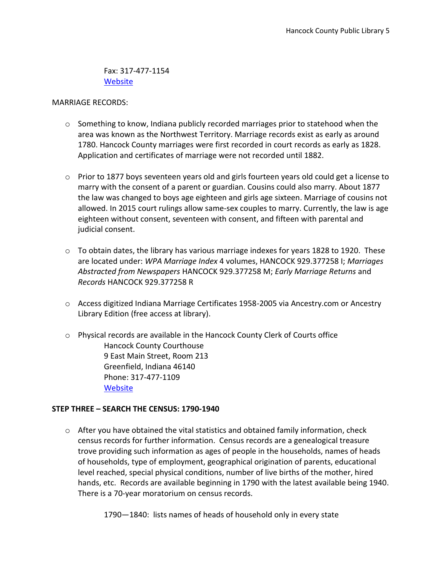Fax: 317-477-1154 **[Website](https://hancockcoingov.org/hancock-county-government-departments/hancock-county-health-department)** 

#### MARRIAGE RECORDS:

- $\circ$  Something to know, Indiana publicly recorded marriages prior to statehood when the area was known as the Northwest Territory. Marriage records exist as early as around 1780. Hancock County marriages were first recorded in court records as early as 1828. Application and certificates of marriage were not recorded until 1882.
- $\circ$  Prior to 1877 boys seventeen years old and girls fourteen years old could get a license to marry with the consent of a parent or guardian. Cousins could also marry. About 1877 the law was changed to boys age eighteen and girls age sixteen. Marriage of cousins not allowed. In 2015 court rulings allow same-sex couples to marry. Currently, the law is age eighteen without consent, seventeen with consent, and fifteen with parental and judicial consent.
- $\circ$  To obtain dates, the library has various marriage indexes for years 1828 to 1920. These are located under: *WPA Marriage Index* 4 volumes, HANCOCK 929.377258 I; *Marriages Abstracted from Newspapers* HANCOCK 929.377258 M; *Early Marriage Returns* and *Records* HANCOCK 929.377258 R
- o Access digitized Indiana Marriage Certificates 1958-2005 via Ancestry.com or Ancestry Library Edition (free access at library).
- o Physical records are available in the Hancock County Clerk of Courts office Hancock County Courthouse 9 East Main Street, Room 213 Greenfield, Indiana 46140 Phone: 317-477-1109 **[Website](http://hancockcoingov.org/hancock-county-government-departments/hancock-county-indiana-clerk)**

# **STEP THREE – SEARCH THE CENSUS: 1790-1940**

- $\circ$  After you have obtained the vital statistics and obtained family information, check census records for further information. Census records are a genealogical treasure trove providing such information as ages of people in the households, names of heads of households, type of employment, geographical origination of parents, educational level reached, special physical conditions, number of live births of the mother, hired hands, etc. Records are available beginning in 1790 with the latest available being 1940. There is a 70-year moratorium on census records.
	- 1790—1840: lists names of heads of household only in every state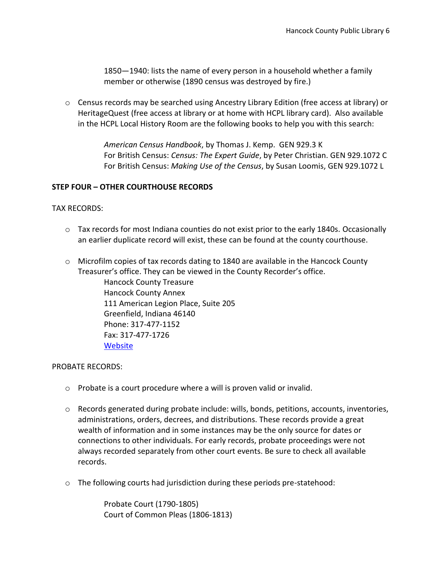1850—1940: lists the name of every person in a household whether a family member or otherwise (1890 census was destroyed by fire.)

o Census records may be searched using Ancestry Library Edition (free access at library) or HeritageQuest (free access at library or at home with HCPL library card). Also available in the HCPL Local History Room are the following books to help you with this search:

> *American Census Handbook*, by Thomas J. Kemp. GEN 929.3 K For British Census: *Census: The Expert Guide*, by Peter Christian. GEN 929.1072 C For British Census: *Making Use of the Census*, by Susan Loomis, GEN 929.1072 L

# **STEP FOUR – OTHER COURTHOUSE RECORDS**

TAX RECORDS:

- $\circ$  Tax records for most Indiana counties do not exist prior to the early 1840s. Occasionally an earlier duplicate record will exist, these can be found at the county courthouse.
- o Microfilm copies of tax records dating to 1840 are available in the Hancock County Treasurer's office. They can be viewed in the County Recorder's office.

Hancock County Treasure Hancock County Annex 111 American Legion Place, Suite 205 Greenfield, Indiana 46140 Phone: 317-477-1152 Fax: 317-477-1726 **[Website](http://hancockcoingov.org/hancock-county-government-departments/hancock-county-indiana-treasurers-office)** 

#### PROBATE RECORDS:

- o Probate is a court procedure where a will is proven valid or invalid.
- $\circ$  Records generated during probate include: wills, bonds, petitions, accounts, inventories, administrations, orders, decrees, and distributions. These records provide a great wealth of information and in some instances may be the only source for dates or connections to other individuals. For early records, probate proceedings were not always recorded separately from other court events. Be sure to check all available records.
- o The following courts had jurisdiction during these periods pre-statehood:

Probate Court (1790-1805) Court of Common Pleas (1806-1813)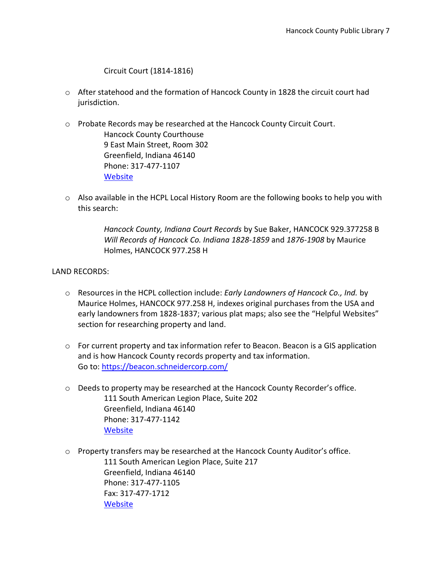Circuit Court (1814-1816)

**[Website](http://hancockcoingov.org/hancock-county-government-departments/hancock-county-indiana-courts)** 

- $\circ$  After statehood and the formation of Hancock County in 1828 the circuit court had jurisdiction.
- o Probate Records may be researched at the Hancock County Circuit Court. Hancock County Courthouse 9 East Main Street, Room 302 Greenfield, Indiana 46140 Phone: 317-477-1107
- o Also available in the HCPL Local History Room are the following books to help you with this search:

*Hancock County, Indiana Court Records* by Sue Baker, HANCOCK 929.377258 B *Will Records of Hancock Co. Indiana 1828-1859* and *1876-1908* by Maurice Holmes, HANCOCK 977.258 H

# LAND RECORDS:

- o Resources in the HCPL collection include: *Early Landowners of Hancock Co., Ind.* by Maurice Holmes, HANCOCK 977.258 H, indexes original purchases from the USA and early landowners from 1828-1837; various plat maps; also see the "Helpful Websites" section for researching property and land.
- $\circ$  For current property and tax information refer to Beacon. Beacon is a GIS application and is how Hancock County records property and tax information. Go to:<https://beacon.schneidercorp.com/>
- $\circ$  Deeds to property may be researched at the Hancock County Recorder's office. 111 South American Legion Place, Suite 202 Greenfield, Indiana 46140 Phone: 317-477-1142 **[Website](https://hancockcoingov.org/hancock-county-government-departments/hancock-county-indiana-recorder)**
- o Property transfers may be researched at the Hancock County Auditor's office. 111 South American Legion Place, Suite 217 Greenfield, Indiana 46140 Phone: 317-477-1105 Fax: 317-477-1712 **[Website](https://hancockcoingov.org/hancock-county-government-departments/auditor)**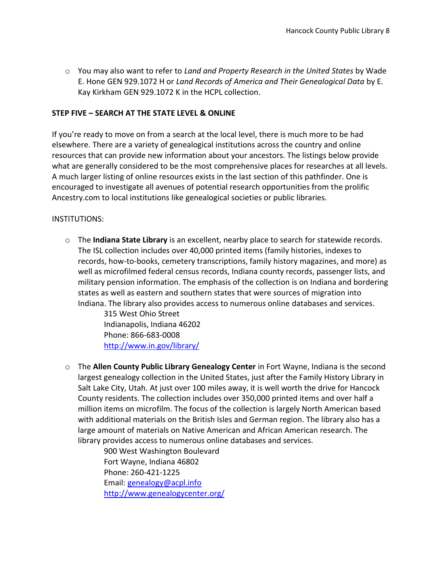o You may also want to refer to *Land and Property Research in the United States* by Wade E. Hone GEN 929.1072 H or *Land Records of America and Their Genealogical Data* by E. Kay Kirkham GEN 929.1072 K in the HCPL collection.

# **STEP FIVE – SEARCH AT THE STATE LEVEL & ONLINE**

If you're ready to move on from a search at the local level, there is much more to be had elsewhere. There are a variety of genealogical institutions across the country and online resources that can provide new information about your ancestors. The listings below provide what are generally considered to be the most comprehensive places for researches at all levels. A much larger listing of online resources exists in the last section of this pathfinder. One is encouraged to investigate all avenues of potential research opportunities from the prolific Ancestry.com to local institutions like genealogical societies or public libraries.

# INSTITUTIONS:

o The **Indiana State Library** is an excellent, nearby place to search for statewide records. The ISL collection includes over 40,000 printed items (family histories, indexes to records, how-to-books, cemetery transcriptions, family history magazines, and more) as well as microfilmed federal census records, Indiana county records, passenger lists, and military pension information. The emphasis of the collection is on Indiana and bordering states as well as eastern and southern states that were sources of migration into Indiana. The library also provides access to numerous online databases and services.

> 315 West Ohio Street Indianapolis, Indiana 46202 Phone: 866-683-0008 <http://www.in.gov/library/>

o The **Allen County Public Library Genealogy Center** in Fort Wayne, Indiana is the second largest genealogy collection in the United States, just after the Family History Library in Salt Lake City, Utah. At just over 100 miles away, it is well worth the drive for Hancock County residents. The collection includes over 350,000 printed items and over half a million items on microfilm. The focus of the collection is largely North American based with additional materials on the British Isles and German region. The library also has a large amount of materials on Native American and African American research. The library provides access to numerous online databases and services.

> 900 West Washington Boulevard Fort Wayne, Indiana 46802 Phone: 260-421-1225 Email: [genealogy@acpl.info](mailto:genealogy@acpl.info) <http://www.genealogycenter.org/>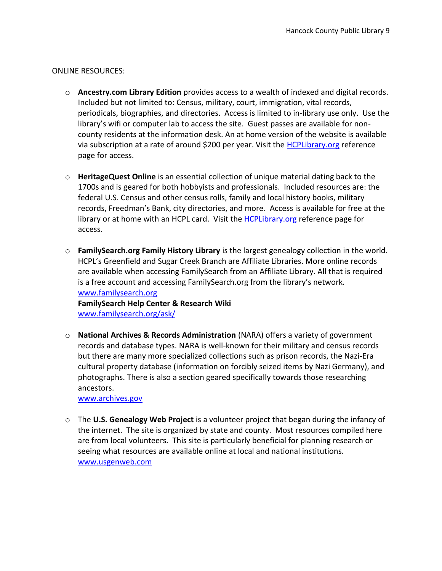# ONLINE RESOURCES:

- o **Ancestry.com Library Edition** provides access to a wealth of indexed and digital records. Included but not limited to: Census, military, court, immigration, vital records, periodicals, biographies, and directories. Access is limited to in-library use only. Use the library's wifi or computer lab to access the site. Guest passes are available for noncounty residents at the information desk. An at home version of the website is available via subscription at a rate of around \$200 per year. Visit the [HCPLibrary.org](http://hcplibrary.org/reference/) reference page for access.
- o **HeritageQuest Online** is an essential collection of unique material dating back to the 1700s and is geared for both hobbyists and professionals. Included resources are: the federal U.S. Census and other census rolls, family and local history books, military records, Freedman's Bank, city directories, and more. Access is available for free at the library or at home with an HCPL card. Visit the [HCPLibrary.org](http://hcplibrary.org/reference/) reference page for access.
- o **FamilySearch.org Family History Library** is the largest genealogy collection in the world. HCPL's Greenfield and Sugar Creek Branch are Affiliate Libraries. More online records are available when accessing FamilySearch from an Affiliate Library. All that is required is a free account and accessing FamilySearch.org from the library's network. [www.familysearch.org](http://www.familysearch.org/) **FamilySearch Help Center & Research Wiki**

[www.familysearch.org/ask/](http://www.familysearch.org/ask/)

o **National Archives & Records Administration** (NARA) offers a variety of government records and database types. NARA is well-known for their military and census records but there are many more specialized collections such as prison records, the Nazi-Era cultural property database (information on forcibly seized items by Nazi Germany), and photographs. There is also a section geared specifically towards those researching ancestors.

[www.archives.gov](http://www.archives.gov/)

o The **U.S. Genealogy Web Project** is a volunteer project that began during the infancy of the internet. The site is organized by state and county. Most resources compiled here are from local volunteers. This site is particularly beneficial for planning research or seeing what resources are available online at local and national institutions. [www.usgenweb.com](http://www.usgenweb.com/)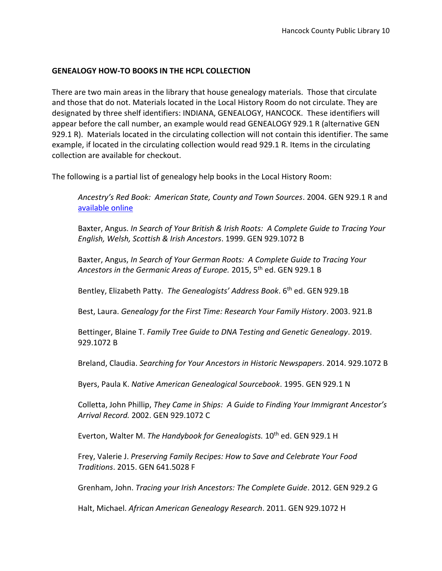# **GENEALOGY HOW-TO BOOKS IN THE HCPL COLLECTION**

There are two main areas in the library that house genealogy materials. Those that circulate and those that do not. Materials located in the Local History Room do not circulate. They are designated by three shelf identifiers: INDIANA, GENEALOGY, HANCOCK. These identifiers will appear before the call number, an example would read GENEALOGY 929.1 R (alternative GEN 929.1 R). Materials located in the circulating collection will not contain this identifier. The same example, if located in the circulating collection would read 929.1 R. Items in the circulating collection are available for checkout.

The following is a partial list of genealogy help books in the Local History Room:

*Ancestry's Red Book: American State, County and Town Sources*. 2004. GEN 929.1 R and [available online](http://www.ancestry.com/wiki/index.php?title=Red_Book:_American_State,_County,_and_Town_Sources)

Baxter, Angus. *In Search of Your British & Irish Roots: A Complete Guide to Tracing Your English, Welsh, Scottish & Irish Ancestors*. 1999. GEN 929.1072 B

Baxter, Angus, *In Search of Your German Roots: A Complete Guide to Tracing Your Ancestors in the Germanic Areas of Europe.* 2015, 5th ed. GEN 929.1 B

Bentley, Elizabeth Patty. *The Genealogists' Address Book*. 6th ed. GEN 929.1B

Best, Laura. *Genealogy for the First Time: Research Your Family History*. 2003. 921.B

Bettinger, Blaine T. *Family Tree Guide to DNA Testing and Genetic Genealogy*. 2019. 929.1072 B

Breland, Claudia. *Searching for Your Ancestors in Historic Newspapers*. 2014. 929.1072 B

Byers, Paula K. *Native American Genealogical Sourcebook*. 1995. GEN 929.1 N

Colletta, John Phillip, *They Came in Ships: A Guide to Finding Your Immigrant Ancestor's Arrival Record.* 2002. GEN 929.1072 C

Everton, Walter M. *The Handybook for Genealogists.* 10<sup>th</sup> ed. GEN 929.1 H

Frey, Valerie J. *Preserving Family Recipes: How to Save and Celebrate Your Food Traditions*. 2015. GEN 641.5028 F

Grenham, John. *Tracing your Irish Ancestors: The Complete Guide*. 2012. GEN 929.2 G

Halt, Michael. *African American Genealogy Research*. 2011. GEN 929.1072 H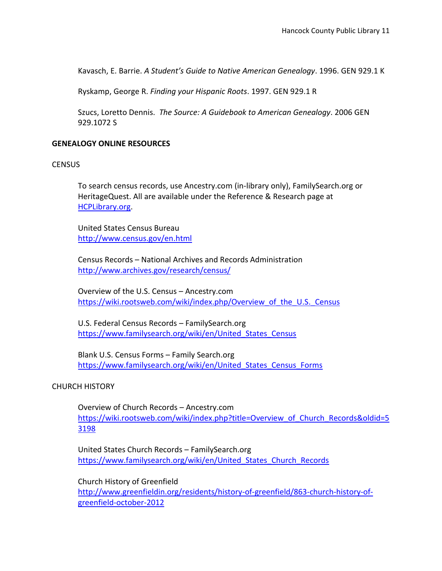Kavasch, E. Barrie. *A Student's Guide to Native American Genealogy*. 1996. GEN 929.1 K

Ryskamp, George R. *Finding your Hispanic Roots*. 1997. GEN 929.1 R

Szucs, Loretto Dennis. *The Source: A Guidebook to American Genealogy*. 2006 GEN 929.1072 S

#### **GENEALOGY ONLINE RESOURCES**

#### **CENSUS**

To search census records, use Ancestry.com (in-library only), FamilySearch.org or HeritageQuest. All are available under the Reference & Research page at [HCPLibrary.org.](http://www.hcplibrary.org/)

United States Census Bureau <http://www.census.gov/en.html>

Census Records – National Archives and Records Administration <http://www.archives.gov/research/census/>

Overview of the U.S. Census – Ancestry.com [https://wiki.rootsweb.com/wiki/index.php/Overview\\_of\\_the\\_U.S.\\_Census](https://wiki.rootsweb.com/wiki/index.php/Overview_of_the_U.S._Census)

U.S. Federal Census Records – FamilySearch.org [https://www.familysearch.org/wiki/en/United\\_States\\_Census](https://www.familysearch.org/wiki/en/United_States_Census)

Blank U.S. Census Forms – Family Search.org https://www.familysearch.org/wiki/en/United States Census Forms

#### CHURCH HISTORY

Overview of Church Records – Ancestry.com [https://wiki.rootsweb.com/wiki/index.php?title=Overview\\_of\\_Church\\_Records&oldid=5](https://wiki.rootsweb.com/wiki/index.php?title=Overview_of_Church_Records&oldid=53198) [3198](https://wiki.rootsweb.com/wiki/index.php?title=Overview_of_Church_Records&oldid=53198)

United States Church Records – FamilySearch.org [https://www.familysearch.org/wiki/en/United\\_States\\_Church\\_Records](https://www.familysearch.org/wiki/en/United_States_Church_Records)

Church History of Greenfield [http://www.greenfieldin.org/residents/history-of-greenfield/863-church-history-of](http://www.greenfieldin.org/residents/history-of-greenfield/863-church-history-of-greenfield-october-2012)[greenfield-october-2012](http://www.greenfieldin.org/residents/history-of-greenfield/863-church-history-of-greenfield-october-2012)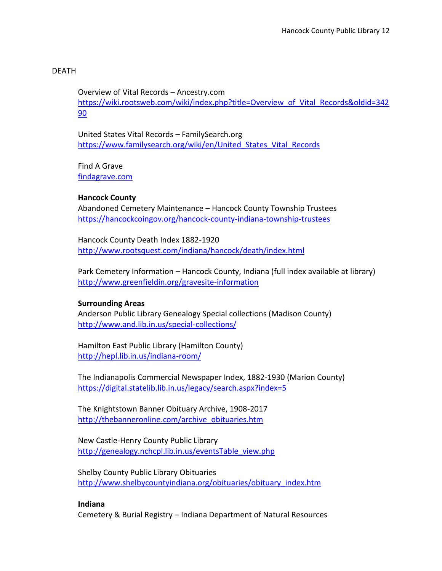# DEATH

Overview of Vital Records – Ancestry.com [https://wiki.rootsweb.com/wiki/index.php?title=Overview\\_of\\_Vital\\_Records&oldid=342](https://wiki.rootsweb.com/wiki/index.php?title=Overview_of_Vital_Records&oldid=34290) [90](https://wiki.rootsweb.com/wiki/index.php?title=Overview_of_Vital_Records&oldid=34290)

United States Vital Records – FamilySearch.org [https://www.familysearch.org/wiki/en/United\\_States\\_Vital\\_Records](https://www.familysearch.org/wiki/en/United_States_Vital_Records)

Find A Grave [findagrave.com](http://www.findagrave.com/)

# **Hancock County**

Abandoned Cemetery Maintenance – Hancock County Township Trustees <https://hancockcoingov.org/hancock-county-indiana-township-trustees>

Hancock County Death Index 1882-1920 <http://www.rootsquest.com/indiana/hancock/death/index.html>

Park Cemetery Information – Hancock County, Indiana (full index available at library) <http://www.greenfieldin.org/gravesite-information>

#### **Surrounding Areas**

Anderson Public Library Genealogy Special collections (Madison County) <http://www.and.lib.in.us/special-collections/>

Hamilton East Public Library (Hamilton County) <http://hepl.lib.in.us/indiana-room/>

The Indianapolis Commercial Newspaper Index, 1882-1930 (Marion County) <https://digital.statelib.lib.in.us/legacy/search.aspx?index=5>

The Knightstown Banner Obituary Archive, 1908-2017 [http://thebanneronline.com/archive\\_obituaries.htm](http://thebanneronline.com/archive_obituaries.htm)

New Castle-Henry County Public Library [http://genealogy.nchcpl.lib.in.us/eventsTable\\_view.php](http://genealogy.nchcpl.lib.in.us/eventsTable_view.php)

Shelby County Public Library Obituaries [http://www.shelbycountyindiana.org/obituaries/obituary\\_index.htm](http://www.shelbycountyindiana.org/obituaries/obituary_index.htm)

#### **Indiana**

Cemetery & Burial Registry – Indiana Department of Natural Resources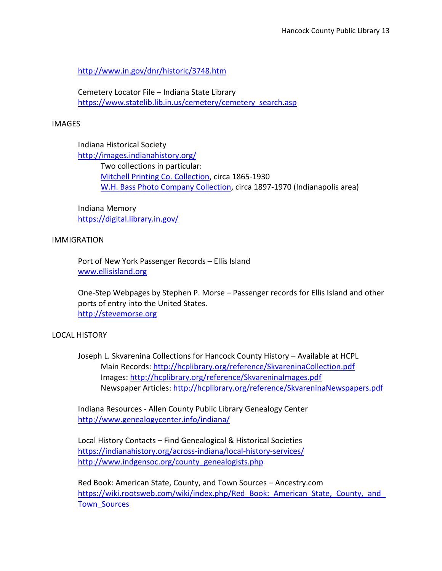<http://www.in.gov/dnr/historic/3748.htm>

Cemetery Locator File – Indiana State Library [https://www.statelib.lib.in.us/cemetery/cemetery\\_search.asp](https://www.statelib.lib.in.us/cemetery/cemetery_search.asp)

#### IMAGES

Indiana Historical Society <http://images.indianahistory.org/> Two collections in particular: [Mitchell Printing Co. Collection,](https://indianahistory.org/wp-content/uploads/mitchell-printing-co-collection-ca-1865-ca-1930.pdf) circa 1865-1930 [W.H. Bass Photo Company Collection,](https://indianahistory.org/wp-content/uploads/bass-photo-collection.pdf) circa 1897-1970 (Indianapolis area)

Indiana Memory <https://digital.library.in.gov/>

#### IMMIGRATION

Port of New York Passenger Records – Ellis Island [www.ellisisland.org](http://www.ellisisland.org/)

One-Step Webpages by Stephen P. Morse – Passenger records for Ellis Island and other ports of entry into the United States. [http://stevemorse.org](http://stevemorse.org/)

#### LOCAL HISTORY

Joseph L. Skvarenina Collections for Hancock County History – Available at HCPL Main Records:<http://hcplibrary.org/reference/SkvareninaCollection.pdf> Images:<http://hcplibrary.org/reference/SkvareninaImages.pdf> Newspaper Articles:<http://hcplibrary.org/reference/SkvareninaNewspapers.pdf>

Indiana Resources - Allen County Public Library Genealogy Center <http://www.genealogycenter.info/indiana/>

Local History Contacts – Find Genealogical & Historical Societies <https://indianahistory.org/across-indiana/local-history-services/> [http://www.indgensoc.org/county\\_genealogists.php](http://www.indgensoc.org/county_genealogists.php)

Red Book: American State, County, and Town Sources – Ancestry.com https://wiki.rootsweb.com/wiki/index.php/Red\_Book: American\_State, County, and [Town\\_Sources](https://wiki.rootsweb.com/wiki/index.php/Red_Book:_American_State,_County,_and_Town_Sources)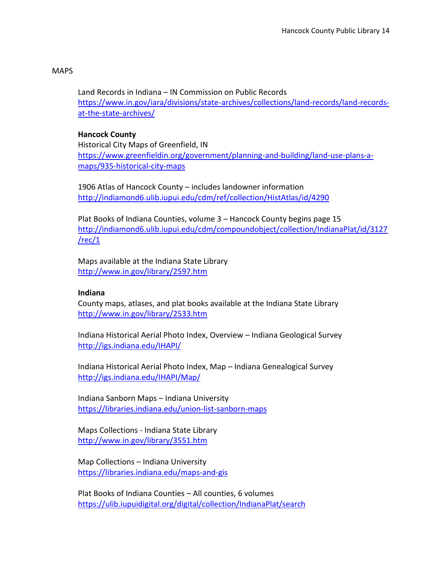# MAPS

Land Records in Indiana – IN Commission on Public Records [https://www.in.gov/iara/divisions/state-archives/collections/land-records/land-records](https://www.in.gov/iara/divisions/state-archives/collections/land-records/land-records-at-the-state-archives/)[at-the-state-archives/](https://www.in.gov/iara/divisions/state-archives/collections/land-records/land-records-at-the-state-archives/)

# **Hancock County**

Historical City Maps of Greenfield, IN [https://www.greenfieldin.org/government/planning-and-building/land-use-plans-a](https://www.greenfieldin.org/government/planning-and-building/land-use-plans-a-maps/935-historical-city-maps)[maps/935-historical-city-maps](https://www.greenfieldin.org/government/planning-and-building/land-use-plans-a-maps/935-historical-city-maps)

1906 Atlas of Hancock County – includes landowner information <http://indiamond6.ulib.iupui.edu/cdm/ref/collection/HistAtlas/id/4290>

Plat Books of Indiana Counties, volume 3 – Hancock County begins page 15 [http://indiamond6.ulib.iupui.edu/cdm/compoundobject/collection/IndianaPlat/id/3127](http://indiamond6.ulib.iupui.edu/cdm/compoundobject/collection/IndianaPlat/id/3127/rec/1) [/rec/1](http://indiamond6.ulib.iupui.edu/cdm/compoundobject/collection/IndianaPlat/id/3127/rec/1)

Maps available at the Indiana State Library <http://www.in.gov/library/2597.htm>

#### **Indiana**

County maps, atlases, and plat books available at the Indiana State Library <http://www.in.gov/library/2533.htm>

Indiana Historical Aerial Photo Index, Overview – Indiana Geological Survey <http://igs.indiana.edu/IHAPI/>

Indiana Historical Aerial Photo Index, Map – Indiana Genealogical Survey <http://igs.indiana.edu/IHAPI/Map/>

Indiana Sanborn Maps – Indiana University <https://libraries.indiana.edu/union-list-sanborn-maps>

Maps Collections - Indiana State Library <http://www.in.gov/library/3551.htm>

Map Collections – Indiana University <https://libraries.indiana.edu/maps-and-gis>

Plat Books of Indiana Counties – All counties, 6 volumes <https://ulib.iupuidigital.org/digital/collection/IndianaPlat/search>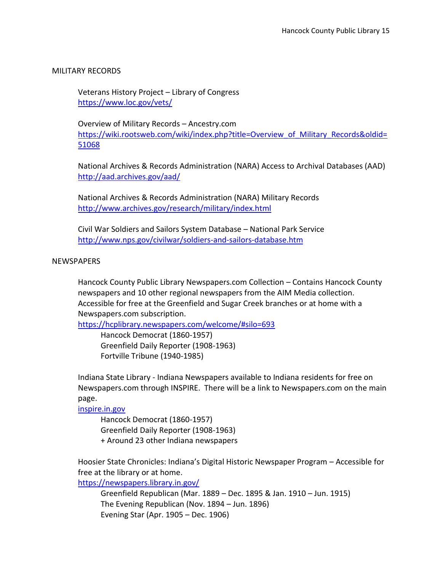# MILITARY RECORDS

Veterans History Project – Library of Congress <https://www.loc.gov/vets/>

Overview of Military Records – Ancestry.com [https://wiki.rootsweb.com/wiki/index.php?title=Overview\\_of\\_Military\\_Records&oldid=](https://wiki.rootsweb.com/wiki/index.php?title=Overview_of_Military_Records&oldid=51068) [51068](https://wiki.rootsweb.com/wiki/index.php?title=Overview_of_Military_Records&oldid=51068)

National Archives & Records Administration (NARA) Access to Archival Databases (AAD) <http://aad.archives.gov/aad/>

National Archives & Records Administration (NARA) Military Records <http://www.archives.gov/research/military/index.html>

Civil War Soldiers and Sailors System Database – National Park Service <http://www.nps.gov/civilwar/soldiers-and-sailors-database.htm>

#### NEWSPAPERS

Hancock County Public Library Newspapers.com Collection – Contains Hancock County newspapers and 10 other regional newspapers from the AIM Media collection. Accessible for free at the Greenfield and Sugar Creek branches or at home with a Newspapers.com subscription.

<https://hcplibrary.newspapers.com/welcome/#silo=693>

Hancock Democrat (1860-1957) Greenfield Daily Reporter (1908-1963) Fortville Tribune (1940-1985)

Indiana State Library - Indiana Newspapers available to Indiana residents for free on Newspapers.com through INSPIRE. There will be a link to Newspapers.com on the main page.

[inspire.in.gov](file://///hcpl-file/groups/Reference/Paul/Genealogy/Genealogy%20Pathfinders/inspire.in.gov)

Hancock Democrat (1860-1957) Greenfield Daily Reporter (1908-1963) + Around 23 other Indiana newspapers

Hoosier State Chronicles: Indiana's Digital Historic Newspaper Program – Accessible for free at the library or at home.

<https://newspapers.library.in.gov/>

Greenfield Republican (Mar. 1889 – Dec. 1895 & Jan. 1910 – Jun. 1915) The Evening Republican (Nov. 1894 – Jun. 1896) Evening Star (Apr. 1905 – Dec. 1906)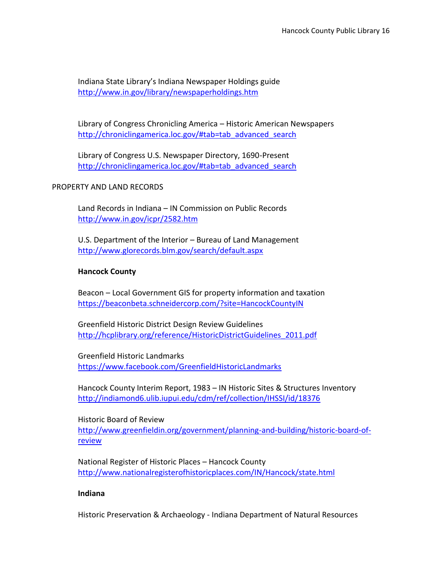Indiana State Library's Indiana Newspaper Holdings guide <http://www.in.gov/library/newspaperholdings.htm>

Library of Congress Chronicling America – Historic American Newspapers [http://chroniclingamerica.loc.gov/#tab=tab\\_advanced\\_search](http://chroniclingamerica.loc.gov/#tab=tab_advanced_search)

Library of Congress U.S. Newspaper Directory, 1690-Present [http://chroniclingamerica.loc.gov/#tab=tab\\_advanced\\_search](http://chroniclingamerica.loc.gov/#tab=tab_advanced_search)

PROPERTY AND LAND RECORDS

Land Records in Indiana – IN Commission on Public Records <http://www.in.gov/icpr/2582.htm>

U.S. Department of the Interior – Bureau of Land Management <http://www.glorecords.blm.gov/search/default.aspx>

# **Hancock County**

Beacon – Local Government GIS for property information and taxation <https://beaconbeta.schneidercorp.com/?site=HancockCountyIN>

Greenfield Historic District Design Review Guidelines [http://hcplibrary.org/reference/HistoricDistrictGuidelines\\_2011.pdf](http://hcplibrary.org/reference/HistoricDistrictGuidelines_2011.pdf)

Greenfield Historic Landmarks <https://www.facebook.com/GreenfieldHistoricLandmarks>

Hancock County Interim Report, 1983 – IN Historic Sites & Structures Inventory <http://indiamond6.ulib.iupui.edu/cdm/ref/collection/IHSSI/id/18376>

Historic Board of Review [http://www.greenfieldin.org/government/planning-and-building/historic-board-of](http://www.greenfieldin.org/government/planning-and-building/historic-board-of-review)[review](http://www.greenfieldin.org/government/planning-and-building/historic-board-of-review)

National Register of Historic Places – Hancock County <http://www.nationalregisterofhistoricplaces.com/IN/Hancock/state.html>

# **Indiana**

Historic Preservation & Archaeology - Indiana Department of Natural Resources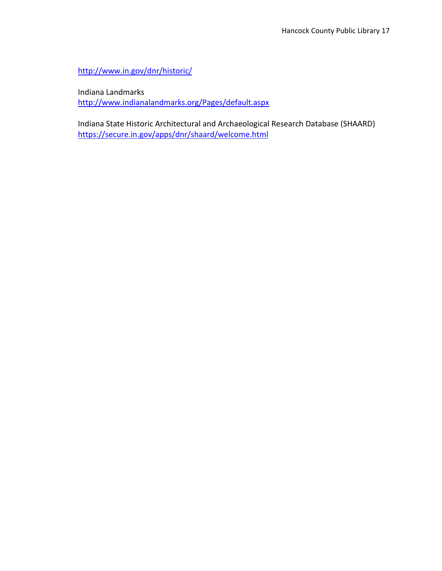<http://www.in.gov/dnr/historic/>

Indiana Landmarks <http://www.indianalandmarks.org/Pages/default.aspx>

Indiana State Historic Architectural and Archaeological Research Database (SHAARD) <https://secure.in.gov/apps/dnr/shaard/welcome.html>